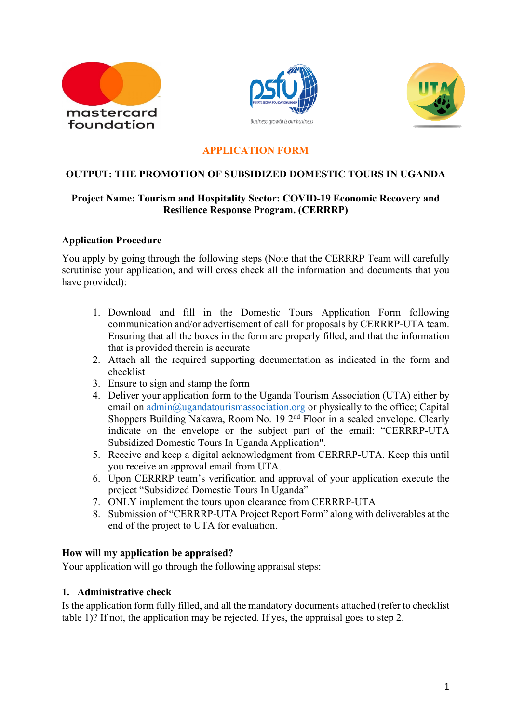





## **APPLICATION FORM**

#### **OUTPUT: THE PROMOTION OF SUBSIDIZED DOMESTIC TOURS IN UGANDA**

## **Project Name: Tourism and Hospitality Sector: COVID-19 Economic Recovery and Resilience Response Program. (CERRRP)**

#### **Application Procedure**

You apply by going through the following steps (Note that the CERRRP Team will carefully scrutinise your application, and will cross check all the information and documents that you have provided):

- 1. Download and fill in the Domestic Tours Application Form following communication and/or advertisement of call for proposals by CERRRP-UTA team. Ensuring that all the boxes in the form are properly filled, and that the information that is provided therein is accurate
- 2. Attach all the required supporting documentation as indicated in the form and checklist
- 3. Ensure to sign and stamp the form
- 4. Deliver your application form to the Uganda Tourism Association (UTA) either by email on admin@ugandatourismassociation.org or physically to the office; Capital Shoppers Building Nakawa, Room No. 19 2nd Floor in a sealed envelope. Clearly indicate on the envelope or the subject part of the email: "CERRRP-UTA Subsidized Domestic Tours In Uganda Application".
- 5. Receive and keep a digital acknowledgment from CERRRP-UTA. Keep this until you receive an approval email from UTA.
- 6. Upon CERRRP team's verification and approval of your application execute the project "Subsidized Domestic Tours In Uganda"
- 7. ONLY implement the tours upon clearance from CERRRP-UTA
- 8. Submission of "CERRRP-UTA Project Report Form" along with deliverables at the end of the project to UTA for evaluation.

#### **How will my application be appraised?**

Your application will go through the following appraisal steps:

#### **1. Administrative check**

Is the application form fully filled, and all the mandatory documents attached (refer to checklist table 1)? If not, the application may be rejected. If yes, the appraisal goes to step 2.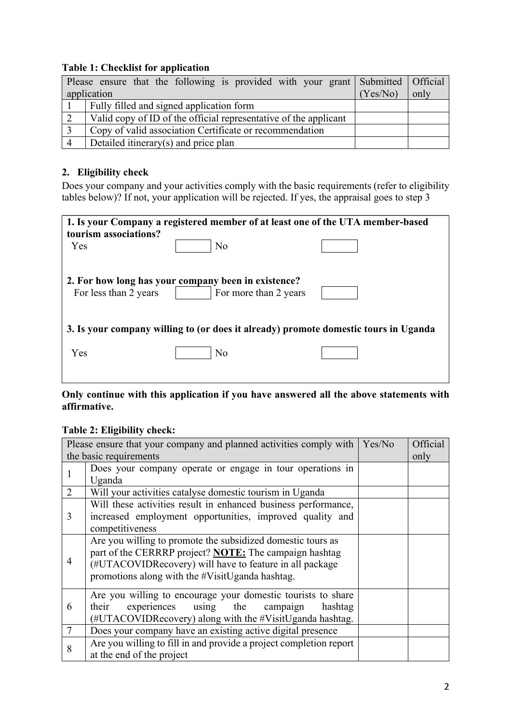## **Table 1: Checklist for application**

| Please ensure that the following is provided with your grant Submitted Official |          |      |
|---------------------------------------------------------------------------------|----------|------|
| application                                                                     | (Yes/No) | only |
| Fully filled and signed application form                                        |          |      |
| Valid copy of ID of the official representative of the applicant                |          |      |
| Copy of valid association Certificate or recommendation                         |          |      |
| Detailed itinerary(s) and price plan                                            |          |      |

## **2. Eligibility check**

Does your company and your activities comply with the basic requirements (refer to eligibility tables below)? If not, your application will be rejected. If yes, the appraisal goes to step 3

| 1. Is your Company a registered member of at least one of the UTA member-based |                                                                                                                                                              |
|--------------------------------------------------------------------------------|--------------------------------------------------------------------------------------------------------------------------------------------------------------|
|                                                                                |                                                                                                                                                              |
|                                                                                |                                                                                                                                                              |
|                                                                                |                                                                                                                                                              |
|                                                                                |                                                                                                                                                              |
| For more than 2 years                                                          |                                                                                                                                                              |
|                                                                                |                                                                                                                                                              |
|                                                                                |                                                                                                                                                              |
|                                                                                |                                                                                                                                                              |
| N <sub>o</sub>                                                                 |                                                                                                                                                              |
|                                                                                |                                                                                                                                                              |
|                                                                                | N <sub>o</sub><br>2. For how long has your company been in existence?<br>3. Is your company willing to (or does it already) promote domestic tours in Uganda |

## **Only continue with this application if you have answered all the above statements with affirmative.**

## **Table 2: Eligibility check:**

| Please ensure that your company and planned activities comply with<br>Yes/No |                                                                    |  | Official |
|------------------------------------------------------------------------------|--------------------------------------------------------------------|--|----------|
| the basic requirements                                                       |                                                                    |  | only     |
| 1                                                                            | Does your company operate or engage in tour operations in          |  |          |
|                                                                              | Uganda                                                             |  |          |
| $\overline{2}$                                                               | Will your activities catalyse domestic tourism in Uganda           |  |          |
| 3                                                                            | Will these activities result in enhanced business performance,     |  |          |
|                                                                              | increased employment opportunities, improved quality and           |  |          |
|                                                                              | competitiveness                                                    |  |          |
|                                                                              | Are you willing to promote the subsidized domestic tours as        |  |          |
|                                                                              | part of the CERRRP project? <b>NOTE:</b> The campaign hashtag      |  |          |
| 4                                                                            | (#UTACOVIDRecovery) will have to feature in all package            |  |          |
|                                                                              | promotions along with the #VisitUganda hashtag.                    |  |          |
|                                                                              | Are you willing to encourage your domestic tourists to share       |  |          |
| 6                                                                            | experiences using the<br>their<br>campaign<br>hashtag              |  |          |
|                                                                              | (#UTACOVIDRecovery) along with the #VisitUganda hashtag.           |  |          |
| $\overline{7}$                                                               | Does your company have an existing active digital presence         |  |          |
|                                                                              | Are you willing to fill in and provide a project completion report |  |          |
| 8                                                                            | at the end of the project                                          |  |          |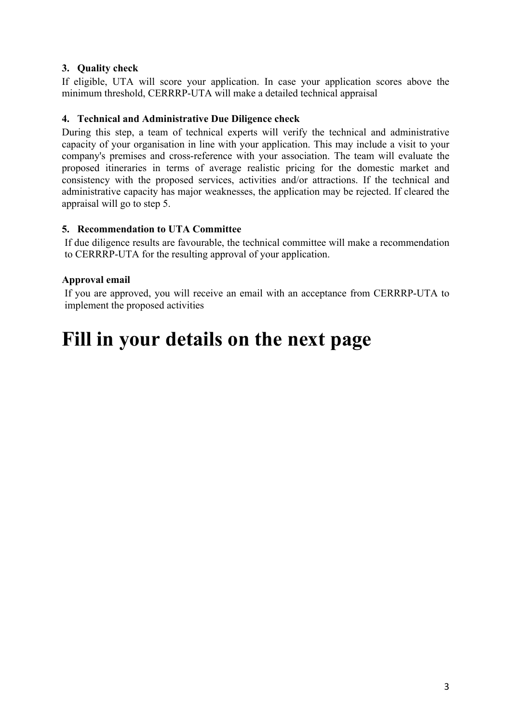## **3. Quality check**

If eligible, UTA will score your application. In case your application scores above the minimum threshold, CERRRP-UTA will make a detailed technical appraisal

#### **4. Technical and Administrative Due Diligence check**

During this step, a team of technical experts will verify the technical and administrative capacity of your organisation in line with your application. This may include a visit to your company's premises and cross-reference with your association. The team will evaluate the proposed itineraries in terms of average realistic pricing for the domestic market and consistency with the proposed services, activities and/or attractions. If the technical and administrative capacity has major weaknesses, the application may be rejected. If cleared the appraisal will go to step 5.

#### **5. Recommendation to UTA Committee**

If due diligence results are favourable, the technical committee will make a recommendation to CERRRP-UTA for the resulting approval of your application.

## **Approval email**

If you are approved, you will receive an email with an acceptance from CERRRP-UTA to implement the proposed activities

# **Fill in your details on the next page**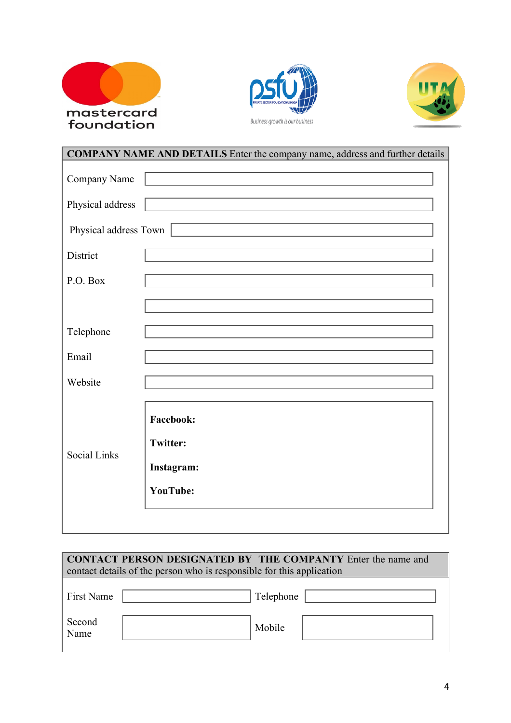





| <b>COMPANY NAME AND DETAILS</b> Enter the company name, address and further details |                                     |  |
|-------------------------------------------------------------------------------------|-------------------------------------|--|
| Company Name                                                                        |                                     |  |
| Physical address                                                                    |                                     |  |
| Physical address Town                                                               |                                     |  |
| District                                                                            |                                     |  |
| P.O. Box                                                                            |                                     |  |
|                                                                                     |                                     |  |
| Telephone                                                                           |                                     |  |
| Email                                                                               |                                     |  |
| Website                                                                             |                                     |  |
|                                                                                     |                                     |  |
|                                                                                     | <b>Facebook:</b><br><b>Twitter:</b> |  |
| <b>Social Links</b>                                                                 | Instagram:                          |  |
|                                                                                     | <b>YouTube:</b>                     |  |
|                                                                                     |                                     |  |
|                                                                                     |                                     |  |

| <b>CONTACT PERSON DESIGNATED BY THE COMPANTY Enter the name and</b><br>contact details of the person who is responsible for this application |  |           |  |
|----------------------------------------------------------------------------------------------------------------------------------------------|--|-----------|--|
| First Name                                                                                                                                   |  | Telephone |  |
| Second<br>Name                                                                                                                               |  | Mobile    |  |